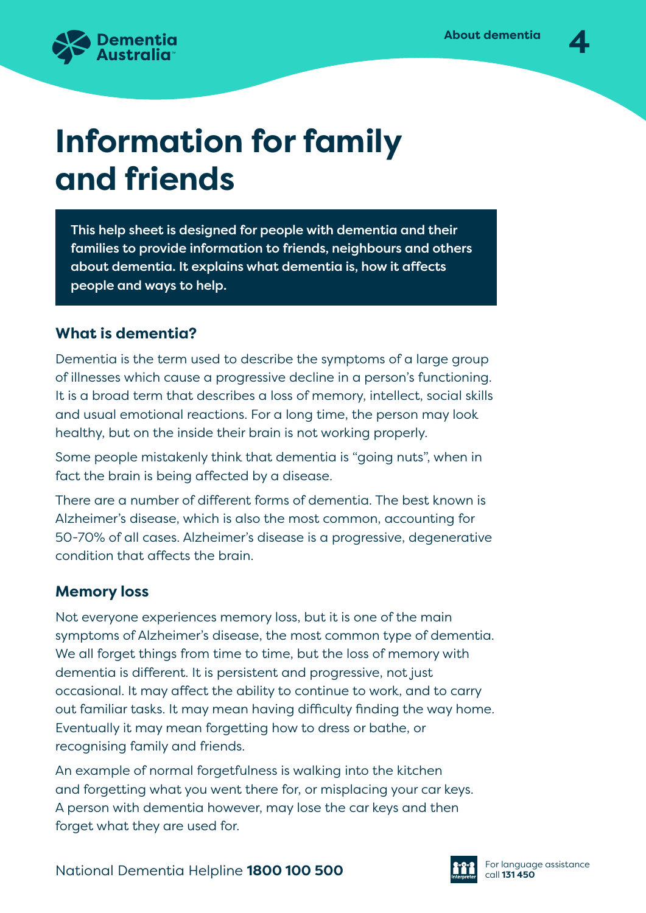

# **Information for family and friends**

This help sheet is designed for people with dementia and their families to provide information to friends, neighbours and others about dementia. It explains what dementia is, how it affects people and ways to help.

# **What is dementia?**

Dementia is the term used to describe the symptoms of a large group of illnesses which cause a progressive decline in a person's functioning. It is a broad term that describes a loss of memory, intellect, social skills and usual emotional reactions. For a long time, the person may look healthy, but on the inside their brain is not working properly.

Some people mistakenly think that dementia is "going nuts", when in fact the brain is being affected by a disease.

There are a number of different forms of dementia. The best known is Alzheimer's disease, which is also the most common, accounting for 50-70% of all cases. Alzheimer's disease is a progressive, degenerative condition that affects the brain.

# **Memory loss**

Not everyone experiences memory loss, but it is one of the main symptoms of Alzheimer's disease, the most common type of dementia. We all forget things from time to time, but the loss of memory with dementia is different. It is persistent and progressive, not just occasional. It may affect the ability to continue to work, and to carry out familiar tasks. It may mean having difficulty finding the way home. Eventually it may mean forgetting how to dress or bathe, or recognising family and friends.

An example of normal forgetfulness is walking into the kitchen and forgetting what you went there for, or misplacing your car keys. A person with dementia however, may lose the car keys and then forget what they are used for.

National Dementia Helpline **1800 100 500 Call 131 450** call 131 450

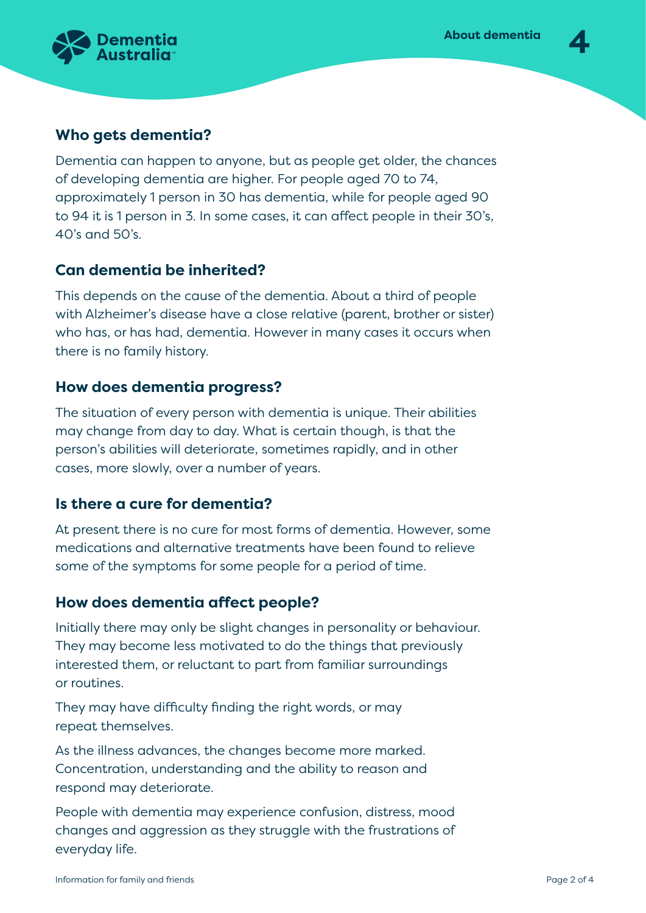

# **Who gets dementia?**

Dementia can happen to anyone, but as people get older, the chances of developing dementia are higher. For people aged 70 to 74, approximately 1 person in 30 has dementia, while for people aged 90 to 94 it is 1 person in 3. In some cases, it can affect people in their 30's, 40's and 50's.

# **Can dementia be inherited?**

This depends on the cause of the dementia. About a third of people with Alzheimer's disease have a close relative (parent, brother or sister) who has, or has had, dementia. However in many cases it occurs when there is no family history.

# **How does dementia progress?**

The situation of every person with dementia is unique. Their abilities may change from day to day. What is certain though, is that the person's abilities will deteriorate, sometimes rapidly, and in other cases, more slowly, over a number of years.

### **Is there a cure for dementia?**

At present there is no cure for most forms of dementia. However, some medications and alternative treatments have been found to relieve some of the symptoms for some people for a period of time.

### **How does dementia affect people?**

Initially there may only be slight changes in personality or behaviour. They may become less motivated to do the things that previously interested them, or reluctant to part from familiar surroundings or routines.

They may have difficulty finding the right words, or may repeat themselves.

As the illness advances, the changes become more marked. Concentration, understanding and the ability to reason and respond may deteriorate.

People with dementia may experience confusion, distress, mood changes and aggression as they struggle with the frustrations of everyday life.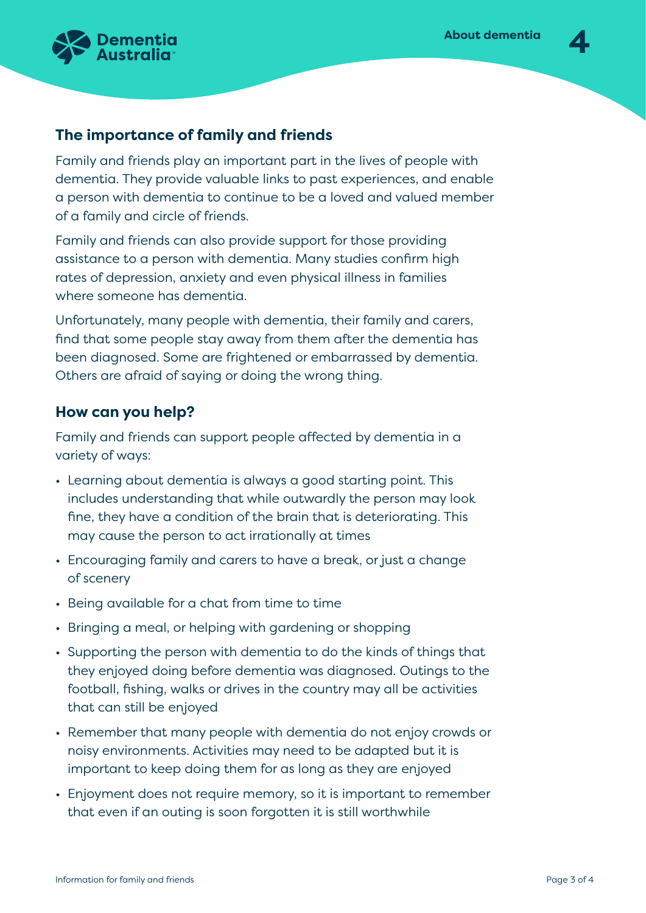

# **The importance of family and friends**

Family and friends play an important part in the lives of people with dementia. They provide valuable links to past experiences, and enable a person with dementia to continue to be a loved and valued member of a family and circle of friends.

Family and friends can also provide support for those providing assistance to a person with dementia. Many studies confirm high rates of depression, anxiety and even physical illness in families where someone has dementia.

Unfortunately, many people with dementia, their family and carers, find that some people stay away from them after the dementia has been diagnosed. Some are frightened or embarrassed by dementia. Others are afraid of saying or doing the wrong thing.

# **How can you help?**

Family and friends can support people affected by dementia in a variety of ways:

- Learning about dementia is always a good starting point. This includes understanding that while outwardly the person may look fine, they have a condition of the brain that is deteriorating. This may cause the person to act irrationally at times
- Encouraging family and carers to have a break, or just a change of scenery
- Being available for a chat from time to time
- Bringing a meal, or helping with gardening or shopping
- Supporting the person with dementia to do the kinds of things that they enjoyed doing before dementia was diagnosed. Outings to the football, fishing, walks or drives in the country may all be activities that can still be enjoyed
- Remember that many people with dementia do not enjoy crowds or noisy environments. Activities may need to be adapted but it is important to keep doing them for as long as they are enjoyed
- Enjoyment does not require memory, so it is important to remember that even if an outing is soon forgotten it is still worthwhile